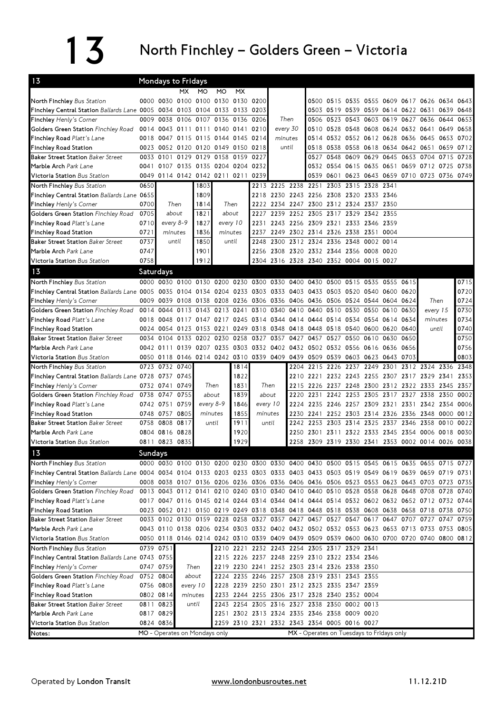## 13 North Finchley – Golders Green – Victoria

| 13                                                                                                                               |         | <b>Mondays to Fridays</b>                                                  |         |                               |           |           |          |           |                                                                  |                     |                |      |                                           |           |                     |                                                                                           |      |           |
|----------------------------------------------------------------------------------------------------------------------------------|---------|----------------------------------------------------------------------------|---------|-------------------------------|-----------|-----------|----------|-----------|------------------------------------------------------------------|---------------------|----------------|------|-------------------------------------------|-----------|---------------------|-------------------------------------------------------------------------------------------|------|-----------|
|                                                                                                                                  |         |                                                                            | MX.     | MO.                           | MO        | <b>MX</b> |          |           |                                                                  |                     |                |      |                                           |           |                     |                                                                                           |      |           |
| North Finchley Bus Station                                                                                                       |         | 0000 0030 0100 0100 0130 0130 0200                                         |         |                               |           |           |          |           |                                                                  |                     | 0500 0515 0535 |      | 0555 0609 0617 0626                       |           |                     |                                                                                           | 0634 | 0643      |
| Finchley Central Station Ballards Lane 0005 0034 0103 0104 0133 0133 0203                                                        |         |                                                                            |         |                               |           |           |          |           |                                                                  |                     |                |      |                                           |           |                     | 0503 0519 0539 0559 0614 0622 0631 0639 0648                                              |      |           |
| Finchley Henly's Corner                                                                                                          | 0009    | 0038                                                                       |         | 0106 0107 0136                |           | 0136 0206 |          |           | Then                                                             | 0506                | 0523 0543      |      |                                           |           | 0603 0619 0627 0636 |                                                                                           | 0644 | 0653      |
| Golders Green Station Finchley Road                                                                                              | 0014    |                                                                            |         | 0043 0111 0111 0140           |           | 0141 0210 |          |           | every 30                                                         |                     | 0510 0528 0548 |      | 0608 0624 0632 0641                       |           |                     |                                                                                           | 0649 | 0658      |
| Finchley Road Platt's Lane                                                                                                       |         | 0018 0047 0115 0115 0144 0145 0214                                         |         |                               |           |           |          | minutes   |                                                                  |                     |                |      | 0514 0532 0552 0612 0628 0636 0645        |           |                     |                                                                                           |      | 0653 0702 |
| <b>Finchley Road Station</b>                                                                                                     | 0023    | 0052 0120 0120 0149 0150 0218                                              |         |                               |           |           |          |           | until                                                            |                     |                |      | 0518 0538 0558 0618 0634 0642 0651        |           |                     |                                                                                           |      | 0659 0712 |
| <b>Baker Street Station Baker Street</b>                                                                                         |         | 0033 0101                                                                  |         | 0129 0129 0158                |           | 0159      | 0227     |           |                                                                  | 0527                | 0548           | 0609 | 0629 0645                                 |           | 0653 0704           |                                                                                           | 0715 | 0728      |
| Marble Arch Park Lane                                                                                                            |         | 0041 0107 0135 0135 0204 0204 0232                                         |         |                               |           |           |          |           |                                                                  |                     | 0532 0554 0615 |      |                                           |           |                     | 0635 0651 0659 0712 0725                                                                  |      | 0738      |
| <b>Victoria Station</b> Bus Station                                                                                              |         | 0049 0114 0142 0142 0211 0211                                              |         |                               |           |           | 0239     |           |                                                                  |                     |                |      |                                           |           |                     | 0539 0601 0623 0643 0659 0710 0723 0736 0749                                              |      |           |
| North Finchley Bus Station                                                                                                       | 0650    |                                                                            |         | 1803                          |           |           |          | 2213 2225 | 2238 2251                                                        |                     | 2303 2315      |      | 2328 2341                                 |           |                     |                                                                                           |      |           |
| Finchley Central Station Ballards Lane 0655                                                                                      |         |                                                                            |         | 1809                          |           |           |          |           | 2218 2230 2243 2256 2308 2320                                    |                     |                |      | 2333 2346                                 |           |                     |                                                                                           |      |           |
| Finchley Henly's Corner                                                                                                          | 0700    |                                                                            | Then    | 1814                          |           | Then      |          |           | 2222 2234 2247 2300 2312 2324 2337 2350                          |                     |                |      |                                           |           |                     |                                                                                           |      |           |
| Golders Green Station Finchley Road                                                                                              | 0705    | about                                                                      |         | 1821                          | about     |           | 2227     |           | 2239 2252 2305 2317 2329                                         |                     |                |      | 2342 2355                                 |           |                     |                                                                                           |      |           |
| Finchley Road Platt's Lane                                                                                                       | 0710    | every 8-9                                                                  |         | every 10<br>1827              |           |           | 2231     |           | 2243 2256 2309 2321 2333 2346 2359                               |                     |                |      |                                           |           |                     |                                                                                           |      |           |
| <b>Finchley Road Station</b>                                                                                                     | 0721    |                                                                            | minutes | 1836                          |           | minutes   | 2237     |           | 2249 2302 2314 2326 2338 2351 0004                               |                     |                |      |                                           |           |                     |                                                                                           |      |           |
| <b>Baker Street Station Baker Street</b>                                                                                         | 0737    |                                                                            | until   | 1850                          |           | until     | 2248     |           | 2300 2312 2324 2336 2348                                         |                     |                |      | 0002 0014                                 |           |                     |                                                                                           |      |           |
| Marble Arch Park Lane                                                                                                            | 0747    |                                                                            |         | 1901                          |           |           |          |           | 2256 2308 2320 2332 2344 2356 0008 0020                          |                     |                |      |                                           |           |                     |                                                                                           |      |           |
| Victoria Station Bus Station                                                                                                     | 0758    |                                                                            |         | 1912                          |           |           |          |           | 2304 2316 2328 2340 2352 0004 0015 0027                          |                     |                |      |                                           |           |                     |                                                                                           |      |           |
| 13                                                                                                                               |         | Saturdays                                                                  |         |                               |           |           |          |           |                                                                  |                     |                |      |                                           |           |                     |                                                                                           |      |           |
| North Finchley Bus Station                                                                                                       |         | 0000 0030 0100 0130 0200 0230 0300 0330 0400 0430                          |         |                               |           |           |          |           |                                                                  |                     | 0500           | 0515 | 0535 0555                                 |           | 0615                |                                                                                           |      | 0715      |
| Finchley Central Station Ballards Lane 0005 0035 0104 0134 0204 0233 0303 0333 0403 0433 0503 0520                               |         |                                                                            |         |                               |           |           |          |           |                                                                  |                     |                |      | 0540 0600 0620                            |           |                     |                                                                                           |      | 0720      |
| Finchley Henly's Corner                                                                                                          | 0009    | 0039                                                                       |         |                               |           |           |          |           | 0108 0138 0208 0236 0306 0336 0406 0436 0506 0524 0544 0604 0624 |                     |                |      |                                           |           |                     | Then                                                                                      |      | 0724      |
| Golders Green Station Finchley Road                                                                                              | 0014    | 0044                                                                       |         | 0113 0143 0213 0241 0310 0340 |           |           |          |           | 0410                                                             | 0440 0510 0530      |                |      |                                           | 0550 0610 | 0630                | every 15                                                                                  |      | 0730      |
| Finchley Road Platt's Lane                                                                                                       | 0018    | 0048                                                                       |         |                               |           |           |          |           | 0117 0147 0217 0245 0314 0344 0414 0444 0514 0534                |                     |                |      | 0554 0614 0634                            |           |                     | minutes                                                                                   |      | 0734      |
| <b>Finchley Road Station</b>                                                                                                     |         | 0024 0054 0123 0153 0221 0249 0318 0348 0418 0448 0518 0540                |         |                               |           |           |          |           |                                                                  |                     |                |      | 0600 0620 0640                            |           |                     | until                                                                                     |      | 0740      |
| <b>Baker Street Station Baker Street</b>                                                                                         |         | 0034 0104                                                                  | 0133    | 0202 0230                     |           | 0258      | 0327     | 0357      | 0427                                                             | 0457                | 0527           | 0550 | 0610 0630                                 |           | 0650                |                                                                                           |      | 0750      |
| Marble Arch Park Lane                                                                                                            |         | 0042 0111 0139 0207 0235                                                   |         |                               |           |           |          |           | 0303 0332 0402 0432 0502 0532 0556                               |                     |                |      | 0616 0636                                 |           | 0656                |                                                                                           |      | 0756      |
| Victoria Station Bus Station                                                                                                     |         | 0050 0118 0146 0214 0242 0310 0339 0409 0439 0509 0539 0603 0623 0643 0703 |         |                               |           |           |          |           |                                                                  |                     |                |      |                                           |           |                     |                                                                                           |      | 0803      |
| North Finchley Bus Station                                                                                                       |         | 0723 0732 0740                                                             |         |                               |           | 1814      |          |           |                                                                  | 2204 2215 2226 2237 |                |      | 2249 2301                                 |           |                     | 2312 2324 2336                                                                            |      | 2348      |
| Finchley Central Station Ballards Lane 0728 0737 0745                                                                            |         |                                                                            |         |                               |           | 1822      |          |           |                                                                  |                     |                |      |                                           |           |                     | 2210 2221 2232 2243 2255 2307 2317 2329 2341                                              |      | 2353      |
| <b>Finchley Henly's Corner</b>                                                                                                   |         | 0732 0741 0749                                                             |         | Then                          |           | 1831      | Then     |           | 2215                                                             | 2226 2237 2248      |                |      | 2300 2312 2322 2333                       |           |                     |                                                                                           | 2345 | 2357      |
| Golders Green Station Finchley Road 0738 0747                                                                                    |         |                                                                            | 0755    | about                         |           | 1839      | about    |           | 2220                                                             | 2231                | 2242 2253      |      | 2305 2317                                 |           | 2327 2338           |                                                                                           | 2350 | 0002      |
| Finchley Road Platt's Lane                                                                                                       |         | 0742 0751                                                                  | 0759    |                               | every 8-9 | 1846      | every 10 |           | 2224                                                             |                     | 2235 2246 2257 |      |                                           |           |                     | 2309 2321 2331 2342 2354                                                                  |      | 0006      |
| <b>Finchley Road Station</b>                                                                                                     |         | 0748 0757 0805                                                             |         | minutes                       |           | 1855      | minutes  |           | 2230                                                             | 2241 2252 2303      |                |      | 2314 2326 2336 2348                       |           |                     |                                                                                           |      | 0000 0012 |
| <b>Baker Street Station Baker Street</b>                                                                                         | 0758    | 0808 0817                                                                  |         |                               | until     | 1911      | until    |           | 2242                                                             |                     |                |      | 2253 2303 2314 2325 2337                  |           | 2346 2358           |                                                                                           | 0010 | 0022      |
| Marble Arch Park Lane                                                                                                            |         | 0804 0816 0828                                                             |         |                               |           | 1920      |          |           | 2250                                                             |                     |                |      | 2301 2311 2322 2333 2345 2354 0006        |           |                     |                                                                                           |      | 0018 0030 |
| Victoria Station Bus Station                                                                                                     |         | 0811 0823 0835                                                             |         |                               |           | 1929      |          |           |                                                                  |                     |                |      |                                           |           |                     | 2258 2309 2319 2330 2341 2353 0002 0014 0026 0038                                         |      |           |
| 13                                                                                                                               | Sundavs |                                                                            |         |                               |           |           |          |           |                                                                  |                     |                |      |                                           |           |                     |                                                                                           |      |           |
| North Finchley Bus Station                                                                                                       |         |                                                                            |         |                               |           |           |          |           |                                                                  |                     |                |      |                                           |           |                     | 0000 0030 0100 0130 0200 0230 0300 0330 0400 0430 0500 0515 0545 0615 0635 0655 0715 0727 |      |           |
| Finchley Central Station Ballards Lane 0004 0034 0104 0133 0203 0233 0303 0333 0403 0433 0503 0519 0549 0619 0639 0659 0719 0731 |         |                                                                            |         |                               |           |           |          |           |                                                                  |                     |                |      |                                           |           |                     |                                                                                           |      |           |
| <b>Finchley Henly's Corner</b>                                                                                                   |         |                                                                            |         |                               |           |           |          |           |                                                                  |                     |                |      |                                           |           |                     |                                                                                           |      |           |
|                                                                                                                                  |         |                                                                            |         |                               |           |           |          |           |                                                                  |                     |                |      |                                           |           |                     |                                                                                           |      |           |
|                                                                                                                                  |         |                                                                            |         |                               |           |           |          |           |                                                                  |                     |                |      |                                           |           |                     | 0008 0038 0107 0136 0206 0236 0306 0336 0406 0436 0506 0523 0553 0623 0643 0703 0723 0735 |      |           |
| Golders Green Station Finchley Road                                                                                              |         |                                                                            |         |                               |           |           |          |           |                                                                  |                     |                |      |                                           |           |                     | 0013 0043 0112 0141 0210 0240 0310 0340 0410 0440 0510 0528 0558 0628 0648 0708 0728 0740 |      |           |
| Finchley Road Platt's Lane                                                                                                       |         |                                                                            |         |                               |           |           |          |           |                                                                  |                     |                |      |                                           |           |                     | 0017 0047 0116 0145 0214 0244 0314 0344 0414 0444 0514 0532 0602 0632 0652 0712 0732 0744 |      |           |
| <b>Finchley Road Station</b>                                                                                                     |         |                                                                            |         |                               |           |           |          |           |                                                                  |                     |                |      |                                           |           |                     | 0023 0052 0121 0150 0219 0249 0318 0348 0418 0448 0518 0538 0608 0638 0658 0718 0738 0750 |      |           |
| <b>Baker Street Station Baker Street</b>                                                                                         |         |                                                                            |         |                               |           |           |          |           |                                                                  |                     |                |      |                                           |           |                     | 0033 0102 0130 0159 0228 0258 0327 0357 0427 0457 0527 0547 0617 0647 0707 0727 0747 0759 |      |           |
| Marble Arch Park Lane                                                                                                            |         |                                                                            |         |                               |           |           |          |           |                                                                  |                     |                |      |                                           |           |                     | 0043 0110 0138 0206 0234 0303 0332 0402 0432 0502 0532 0553 0623 0653 0713 0733 0753 0805 |      |           |
| <b>Victoria Station</b> Bus Station                                                                                              |         |                                                                            |         |                               |           |           |          |           |                                                                  |                     |                |      |                                           |           |                     | 0050 0118 0146 0214 0242 0310 0339 0409 0439 0509 0539 0600 0630 0700 0720 0740 0800 0812 |      |           |
| North Finchley Bus Station                                                                                                       |         | 0739 0751                                                                  |         |                               |           |           |          |           | 2210 2221 2232 2243 2254 2305 2317 2329 2341                     |                     |                |      |                                           |           |                     |                                                                                           |      |           |
| Finchley Central Station Ballards Lane 0743 0755                                                                                 |         |                                                                            |         |                               |           |           |          |           | 2215 2226 2237 2248 2259 2310 2322 2334 2346                     |                     |                |      |                                           |           |                     |                                                                                           |      |           |
| Finchley Henly's Corner                                                                                                          |         | 0747 0759                                                                  |         | Then                          |           |           |          |           | 2219 2230 2241 2252 2303 2314 2326 2338 2350                     |                     |                |      |                                           |           |                     |                                                                                           |      |           |
| Golders Green Station Finchley Road                                                                                              |         | 0752 0804                                                                  |         | about                         |           |           |          |           | 2224 2235 2246 2257 2308 2319 2331 2343 2355                     |                     |                |      |                                           |           |                     |                                                                                           |      |           |
| Finchley Road Platt's Lane                                                                                                       |         | 0756 0808                                                                  |         | every 10                      |           |           |          |           | 2228 2239 2250 2301 2312 2323 2335 2347 2359                     |                     |                |      |                                           |           |                     |                                                                                           |      |           |
| Finchley Road Station                                                                                                            |         | 0802 0814                                                                  |         | minutes                       |           |           |          |           | 2233 2244 2255 2306 2317 2328 2340 2352 0004                     |                     |                |      |                                           |           |                     |                                                                                           |      |           |
| <b>Baker Street Station Baker Street</b>                                                                                         |         | 0811 0823                                                                  |         | until                         |           |           |          |           | 2243 2254 2305 2316 2327 2338 2350 0002 0013                     |                     |                |      |                                           |           |                     |                                                                                           |      |           |
| Marble Arch Park Lane                                                                                                            |         | 0817 0829                                                                  |         |                               |           |           |          |           | 2251 2302 2313 2324 2335 2346 2358 0009 0020                     |                     |                |      |                                           |           |                     |                                                                                           |      |           |
| Victoria Station Bus Station<br>Notes:                                                                                           |         | 0824 0836<br>MO - Operates on Mondays only                                 |         |                               |           |           |          |           | 2259 2310 2321 2332 2343 2354 0005 0016 0027                     |                     |                |      | MX - Operates on Tuesdays to Fridays only |           |                     |                                                                                           |      |           |